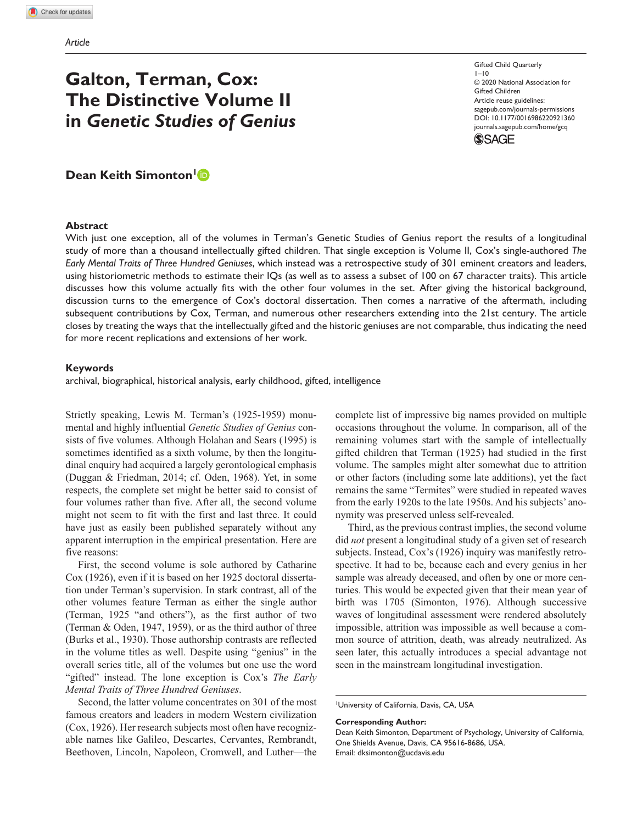# **Galton, Terman, Cox: The Distinctive Volume II in** *Genetic Studies of Genius*

Gifted Child Quarterly  $1 - 10$ © 2020 National Association for Gifted Children Article reuse guidelines: [sagepub.com/journals-permissions](https://us.sagepub.com/en-us/journals-permissions) https://doi.org/10.1177/0016986220921360 DOI: 10.1177/0016986220921360 [journals.sagepub.com/home/gcq](https://journals.sagepub.com/home/gcq) **SSAGE** 

**Dean Keith Simonton** 

#### **Abstract**

With just one exception, all of the volumes in Terman's Genetic Studies of Genius report the results of a longitudinal study of more than a thousand intellectually gifted children. That single exception is Volume II, Cox's single-authored *The Early Mental Traits of Three Hundred Geniuses*, which instead was a retrospective study of 301 eminent creators and leaders, using historiometric methods to estimate their IQs (as well as to assess a subset of 100 on 67 character traits). This article discusses how this volume actually fits with the other four volumes in the set. After giving the historical background, discussion turns to the emergence of Cox's doctoral dissertation. Then comes a narrative of the aftermath, including subsequent contributions by Cox, Terman, and numerous other researchers extending into the 21st century. The article closes by treating the ways that the intellectually gifted and the historic geniuses are not comparable, thus indicating the need for more recent replications and extensions of her work.

#### **Keywords**

archival, biographical, historical analysis, early childhood, gifted, intelligence

Strictly speaking, Lewis M. Terman's (1925-1959) monumental and highly influential *Genetic Studies of Genius* consists of five volumes. Although Holahan and Sears (1995) is sometimes identified as a sixth volume, by then the longitudinal enquiry had acquired a largely gerontological emphasis (Duggan & Friedman, 2014; cf. Oden, 1968). Yet, in some respects, the complete set might be better said to consist of four volumes rather than five. After all, the second volume might not seem to fit with the first and last three. It could have just as easily been published separately without any apparent interruption in the empirical presentation. Here are five reasons:

First, the second volume is sole authored by Catharine Cox (1926), even if it is based on her 1925 doctoral dissertation under Terman's supervision. In stark contrast, all of the other volumes feature Terman as either the single author (Terman, 1925 "and others"), as the first author of two (Terman & Oden, 1947, 1959), or as the third author of three (Burks et al., 1930). Those authorship contrasts are reflected in the volume titles as well. Despite using "genius" in the overall series title, all of the volumes but one use the word "gifted" instead. The lone exception is Cox's *The Early Mental Traits of Three Hundred Geniuses*.

Second, the latter volume concentrates on 301 of the most famous creators and leaders in modern Western civilization (Cox, 1926). Her research subjects most often have recognizable names like Galileo, Descartes, Cervantes, Rembrandt, Beethoven, Lincoln, Napoleon, Cromwell, and Luther—the complete list of impressive big names provided on multiple occasions throughout the volume. In comparison, all of the remaining volumes start with the sample of intellectually gifted children that Terman (1925) had studied in the first volume. The samples might alter somewhat due to attrition or other factors (including some late additions), yet the fact remains the same "Termites" were studied in repeated waves from the early 1920s to the late 1950s. And his subjects' anonymity was preserved unless self-revealed.

Third, as the previous contrast implies, the second volume did *not* present a longitudinal study of a given set of research subjects. Instead, Cox's (1926) inquiry was manifestly retrospective. It had to be, because each and every genius in her sample was already deceased, and often by one or more centuries. This would be expected given that their mean year of birth was 1705 (Simonton, 1976). Although successive waves of longitudinal assessment were rendered absolutely impossible, attrition was impossible as well because a common source of attrition, death, was already neutralized. As seen later, this actually introduces a special advantage not seen in the mainstream longitudinal investigation.

University of California, Davis, CA, USA

**Corresponding Author:**

Dean Keith Simonton, Department of Psychology, University of California, One Shields Avenue, Davis, CA 95616-8686, USA. Email: dksimonton@ucdavis.edu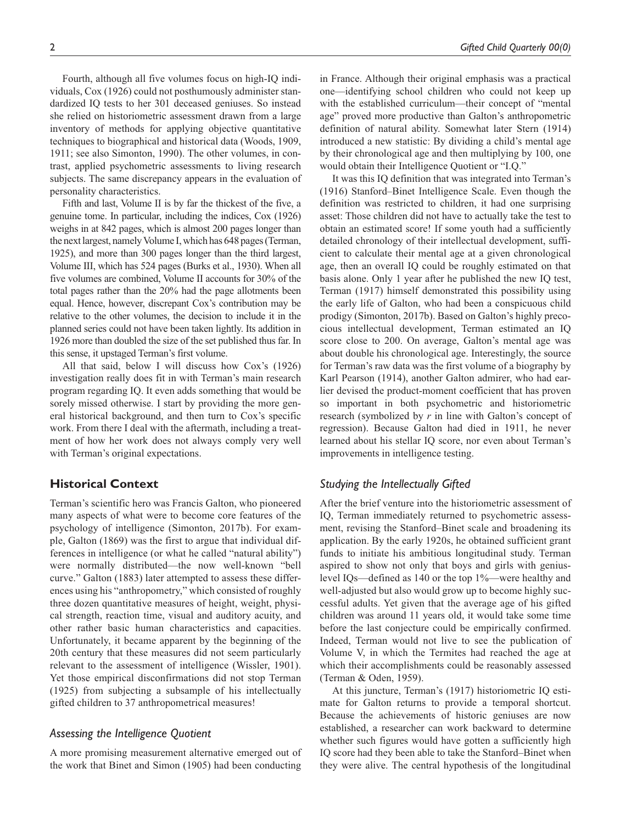Fourth, although all five volumes focus on high-IQ individuals, Cox (1926) could not posthumously administer standardized IQ tests to her 301 deceased geniuses. So instead she relied on historiometric assessment drawn from a large inventory of methods for applying objective quantitative techniques to biographical and historical data (Woods, 1909, 1911; see also Simonton, 1990). The other volumes, in contrast, applied psychometric assessments to living research subjects. The same discrepancy appears in the evaluation of personality characteristics.

Fifth and last, Volume II is by far the thickest of the five, a genuine tome. In particular, including the indices, Cox (1926) weighs in at 842 pages, which is almost 200 pages longer than the next largest, namely Volume I, which has 648 pages (Terman, 1925), and more than 300 pages longer than the third largest, Volume III, which has 524 pages (Burks et al., 1930). When all five volumes are combined, Volume II accounts for 30% of the total pages rather than the 20% had the page allotments been equal. Hence, however, discrepant Cox's contribution may be relative to the other volumes, the decision to include it in the planned series could not have been taken lightly. Its addition in 1926 more than doubled the size of the set published thus far. In this sense, it upstaged Terman's first volume.

All that said, below I will discuss how Cox's (1926) investigation really does fit in with Terman's main research program regarding IQ. It even adds something that would be sorely missed otherwise. I start by providing the more general historical background, and then turn to Cox's specific work. From there I deal with the aftermath, including a treatment of how her work does not always comply very well with Terman's original expectations.

# **Historical Context**

Terman's scientific hero was Francis Galton, who pioneered many aspects of what were to become core features of the psychology of intelligence (Simonton, 2017b). For example, Galton (1869) was the first to argue that individual differences in intelligence (or what he called "natural ability") were normally distributed—the now well-known "bell curve." Galton (1883) later attempted to assess these differences using his "anthropometry," which consisted of roughly three dozen quantitative measures of height, weight, physical strength, reaction time, visual and auditory acuity, and other rather basic human characteristics and capacities. Unfortunately, it became apparent by the beginning of the 20th century that these measures did not seem particularly relevant to the assessment of intelligence (Wissler, 1901). Yet those empirical disconfirmations did not stop Terman (1925) from subjecting a subsample of his intellectually gifted children to 37 anthropometrical measures!

## *Assessing the Intelligence Quotient*

A more promising measurement alternative emerged out of the work that Binet and Simon (1905) had been conducting

in France. Although their original emphasis was a practical one—identifying school children who could not keep up with the established curriculum—their concept of "mental age" proved more productive than Galton's anthropometric definition of natural ability. Somewhat later Stern (1914) introduced a new statistic: By dividing a child's mental age by their chronological age and then multiplying by 100, one would obtain their Intelligence Quotient or "I.Q."

It was this IQ definition that was integrated into Terman's (1916) Stanford–Binet Intelligence Scale. Even though the definition was restricted to children, it had one surprising asset: Those children did not have to actually take the test to obtain an estimated score! If some youth had a sufficiently detailed chronology of their intellectual development, sufficient to calculate their mental age at a given chronological age, then an overall IQ could be roughly estimated on that basis alone. Only 1 year after he published the new IQ test, Terman (1917) himself demonstrated this possibility using the early life of Galton, who had been a conspicuous child prodigy (Simonton, 2017b). Based on Galton's highly precocious intellectual development, Terman estimated an IQ score close to 200. On average, Galton's mental age was about double his chronological age. Interestingly, the source for Terman's raw data was the first volume of a biography by Karl Pearson (1914), another Galton admirer, who had earlier devised the product-moment coefficient that has proven so important in both psychometric and historiometric research (symbolized by *r* in line with Galton's concept of regression). Because Galton had died in 1911, he never learned about his stellar IQ score, nor even about Terman's improvements in intelligence testing.

# *Studying the Intellectually Gifted*

After the brief venture into the historiometric assessment of IQ, Terman immediately returned to psychometric assessment, revising the Stanford–Binet scale and broadening its application. By the early 1920s, he obtained sufficient grant funds to initiate his ambitious longitudinal study. Terman aspired to show not only that boys and girls with geniuslevel IQs—defined as 140 or the top 1%—were healthy and well-adjusted but also would grow up to become highly successful adults. Yet given that the average age of his gifted children was around 11 years old, it would take some time before the last conjecture could be empirically confirmed. Indeed, Terman would not live to see the publication of Volume V, in which the Termites had reached the age at which their accomplishments could be reasonably assessed (Terman & Oden, 1959).

At this juncture, Terman's (1917) historiometric IQ estimate for Galton returns to provide a temporal shortcut. Because the achievements of historic geniuses are now established, a researcher can work backward to determine whether such figures would have gotten a sufficiently high IQ score had they been able to take the Stanford–Binet when they were alive. The central hypothesis of the longitudinal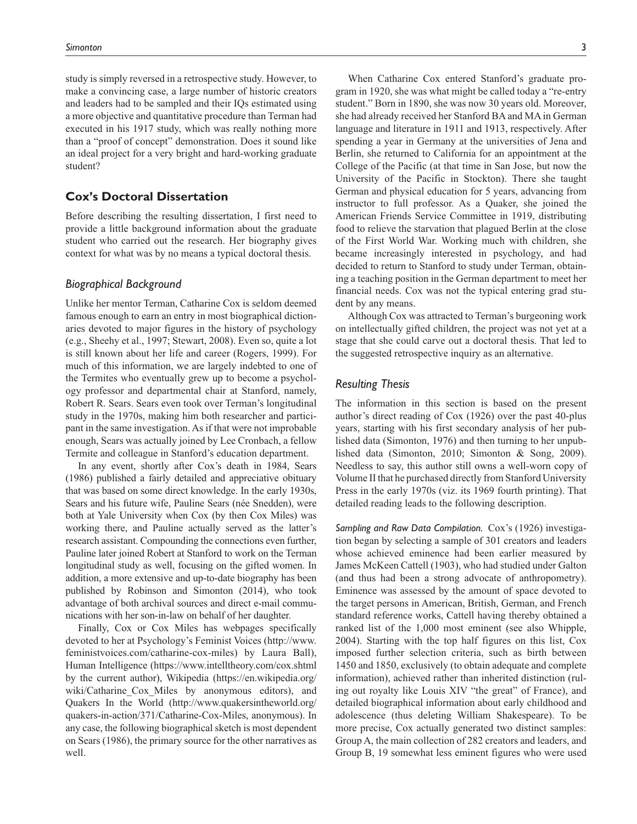study is simply reversed in a retrospective study. However, to make a convincing case, a large number of historic creators and leaders had to be sampled and their IQs estimated using a more objective and quantitative procedure than Terman had executed in his 1917 study, which was really nothing more than a "proof of concept" demonstration. Does it sound like an ideal project for a very bright and hard-working graduate student?

# **Cox's Doctoral Dissertation**

Before describing the resulting dissertation, I first need to provide a little background information about the graduate student who carried out the research. Her biography gives context for what was by no means a typical doctoral thesis.

## *Biographical Background*

Unlike her mentor Terman, Catharine Cox is seldom deemed famous enough to earn an entry in most biographical dictionaries devoted to major figures in the history of psychology (e.g., Sheehy et al., 1997; Stewart, 2008). Even so, quite a lot is still known about her life and career (Rogers, 1999). For much of this information, we are largely indebted to one of the Termites who eventually grew up to become a psychology professor and departmental chair at Stanford, namely, Robert R. Sears. Sears even took over Terman's longitudinal study in the 1970s, making him both researcher and participant in the same investigation. As if that were not improbable enough, Sears was actually joined by Lee Cronbach, a fellow Termite and colleague in Stanford's education department.

In any event, shortly after Cox's death in 1984, Sears (1986) published a fairly detailed and appreciative obituary that was based on some direct knowledge. In the early 1930s, Sears and his future wife, Pauline Sears (née Snedden), were both at Yale University when Cox (by then Cox Miles) was working there, and Pauline actually served as the latter's research assistant. Compounding the connections even further, Pauline later joined Robert at Stanford to work on the Terman longitudinal study as well, focusing on the gifted women. In addition, a more extensive and up-to-date biography has been published by Robinson and Simonton (2014), who took advantage of both archival sources and direct e-mail communications with her son-in-law on behalf of her daughter.

Finally, Cox or Cox Miles has webpages specifically devoted to her at Psychology's Feminist Voices (http://www. feministvoices.com/catharine-cox-miles) by Laura Ball), Human Intelligence (https://www.intelltheory.com/cox.shtml by the current author), Wikipedia (https://en.wikipedia.org/ wiki/Catharine Cox Miles by anonymous editors), and Quakers In the World (http://www.quakersintheworld.org/ quakers-in-action/371/Catharine-Cox-Miles, anonymous). In any case, the following biographical sketch is most dependent on Sears (1986), the primary source for the other narratives as well.

When Catharine Cox entered Stanford's graduate program in 1920, she was what might be called today a "re-entry student." Born in 1890, she was now 30 years old. Moreover, she had already received her Stanford BA and MA in German language and literature in 1911 and 1913, respectively. After spending a year in Germany at the universities of Jena and Berlin, she returned to California for an appointment at the College of the Pacific (at that time in San Jose, but now the University of the Pacific in Stockton). There she taught German and physical education for 5 years, advancing from instructor to full professor. As a Quaker, she joined the American Friends Service Committee in 1919, distributing food to relieve the starvation that plagued Berlin at the close of the First World War. Working much with children, she became increasingly interested in psychology, and had decided to return to Stanford to study under Terman, obtaining a teaching position in the German department to meet her financial needs. Cox was not the typical entering grad student by any means.

Although Cox was attracted to Terman's burgeoning work on intellectually gifted children, the project was not yet at a stage that she could carve out a doctoral thesis. That led to the suggested retrospective inquiry as an alternative.

## *Resulting Thesis*

The information in this section is based on the present author's direct reading of Cox (1926) over the past 40-plus years, starting with his first secondary analysis of her published data (Simonton, 1976) and then turning to her unpublished data (Simonton, 2010; Simonton & Song, 2009). Needless to say, this author still owns a well-worn copy of Volume II that he purchased directly from Stanford University Press in the early 1970s (viz. its 1969 fourth printing). That detailed reading leads to the following description.

*Sampling and Raw Data Compilation.* Cox's (1926) investigation began by selecting a sample of 301 creators and leaders whose achieved eminence had been earlier measured by James McKeen Cattell (1903), who had studied under Galton (and thus had been a strong advocate of anthropometry). Eminence was assessed by the amount of space devoted to the target persons in American, British, German, and French standard reference works, Cattell having thereby obtained a ranked list of the 1,000 most eminent (see also Whipple, 2004). Starting with the top half figures on this list, Cox imposed further selection criteria, such as birth between 1450 and 1850, exclusively (to obtain adequate and complete information), achieved rather than inherited distinction (ruling out royalty like Louis XIV "the great" of France), and detailed biographical information about early childhood and adolescence (thus deleting William Shakespeare). To be more precise, Cox actually generated two distinct samples: Group A, the main collection of 282 creators and leaders, and Group B, 19 somewhat less eminent figures who were used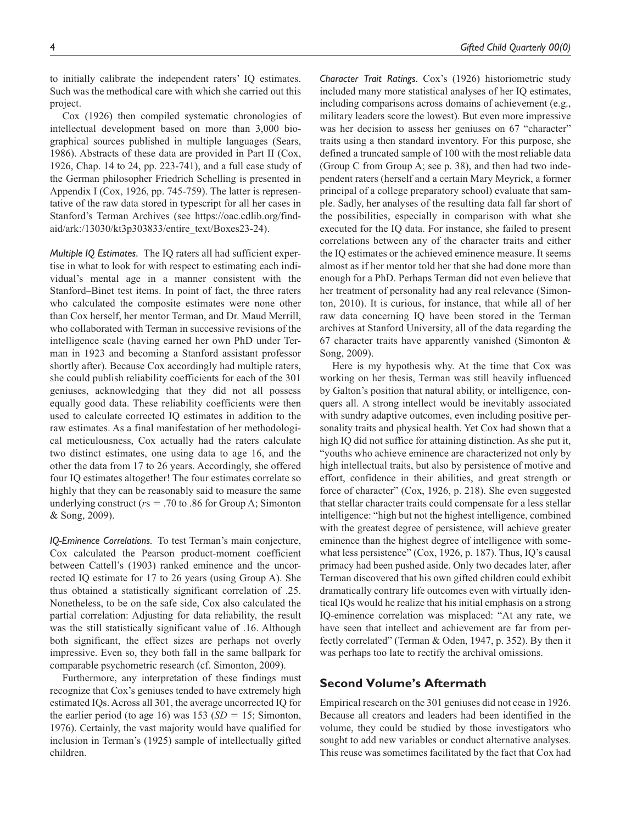to initially calibrate the independent raters' IQ estimates. Such was the methodical care with which she carried out this project.

Cox (1926) then compiled systematic chronologies of intellectual development based on more than 3,000 biographical sources published in multiple languages (Sears, 1986). Abstracts of these data are provided in Part II (Cox, 1926, Chap. 14 to 24, pp. 223-741), and a full case study of the German philosopher Friedrich Schelling is presented in Appendix I (Cox, 1926, pp. 745-759). The latter is representative of the raw data stored in typescript for all her cases in Stanford's Terman Archives (see https://oac.cdlib.org/findaid/ark:/13030/kt3p303833/entire\_text/Boxes23-24).

*Multiple IQ Estimates.* The IQ raters all had sufficient expertise in what to look for with respect to estimating each individual's mental age in a manner consistent with the Stanford–Binet test items. In point of fact, the three raters who calculated the composite estimates were none other than Cox herself, her mentor Terman, and Dr. Maud Merrill, who collaborated with Terman in successive revisions of the intelligence scale (having earned her own PhD under Terman in 1923 and becoming a Stanford assistant professor shortly after). Because Cox accordingly had multiple raters, she could publish reliability coefficients for each of the 301 geniuses, acknowledging that they did not all possess equally good data. These reliability coefficients were then used to calculate corrected IQ estimates in addition to the raw estimates. As a final manifestation of her methodological meticulousness, Cox actually had the raters calculate two distinct estimates, one using data to age 16, and the other the data from 17 to 26 years. Accordingly, she offered four IQ estimates altogether! The four estimates correlate so highly that they can be reasonably said to measure the same underlying construct (*r*s = .70 to .86 for Group A; Simonton & Song, 2009).

*IQ-Eminence Correlations.* To test Terman's main conjecture, Cox calculated the Pearson product-moment coefficient between Cattell's (1903) ranked eminence and the uncorrected IQ estimate for 17 to 26 years (using Group A). She thus obtained a statistically significant correlation of .25. Nonetheless, to be on the safe side, Cox also calculated the partial correlation: Adjusting for data reliability, the result was the still statistically significant value of .16. Although both significant, the effect sizes are perhaps not overly impressive. Even so, they both fall in the same ballpark for comparable psychometric research (cf. Simonton, 2009).

Furthermore, any interpretation of these findings must recognize that Cox's geniuses tended to have extremely high estimated IQs. Across all 301, the average uncorrected IQ for the earlier period (to age 16) was  $153 (SD = 15)$ ; Simonton, 1976). Certainly, the vast majority would have qualified for inclusion in Terman's (1925) sample of intellectually gifted children.

*Character Trait Ratings.* Cox's (1926) historiometric study included many more statistical analyses of her IQ estimates, including comparisons across domains of achievement (e.g., military leaders score the lowest). But even more impressive was her decision to assess her geniuses on 67 "character" traits using a then standard inventory. For this purpose, she defined a truncated sample of 100 with the most reliable data (Group C from Group A; see p. 38), and then had two independent raters (herself and a certain Mary Meyrick, a former principal of a college preparatory school) evaluate that sample. Sadly, her analyses of the resulting data fall far short of the possibilities, especially in comparison with what she executed for the IQ data. For instance, she failed to present correlations between any of the character traits and either the IQ estimates or the achieved eminence measure. It seems almost as if her mentor told her that she had done more than enough for a PhD. Perhaps Terman did not even believe that her treatment of personality had any real relevance (Simonton, 2010). It is curious, for instance, that while all of her raw data concerning IQ have been stored in the Terman archives at Stanford University, all of the data regarding the 67 character traits have apparently vanished (Simonton  $\&$ Song, 2009).

Here is my hypothesis why. At the time that Cox was working on her thesis, Terman was still heavily influenced by Galton's position that natural ability, or intelligence, conquers all. A strong intellect would be inevitably associated with sundry adaptive outcomes, even including positive personality traits and physical health. Yet Cox had shown that a high IQ did not suffice for attaining distinction. As she put it, "youths who achieve eminence are characterized not only by high intellectual traits, but also by persistence of motive and effort, confidence in their abilities, and great strength or force of character" (Cox, 1926, p. 218). She even suggested that stellar character traits could compensate for a less stellar intelligence: "high but not the highest intelligence, combined with the greatest degree of persistence, will achieve greater eminence than the highest degree of intelligence with somewhat less persistence" (Cox, 1926, p. 187). Thus, IQ's causal primacy had been pushed aside. Only two decades later, after Terman discovered that his own gifted children could exhibit dramatically contrary life outcomes even with virtually identical IQs would he realize that his initial emphasis on a strong IQ-eminence correlation was misplaced: "At any rate, we have seen that intellect and achievement are far from perfectly correlated" (Terman & Oden, 1947, p. 352). By then it was perhaps too late to rectify the archival omissions.

## **Second Volume's Aftermath**

Empirical research on the 301 geniuses did not cease in 1926. Because all creators and leaders had been identified in the volume, they could be studied by those investigators who sought to add new variables or conduct alternative analyses. This reuse was sometimes facilitated by the fact that Cox had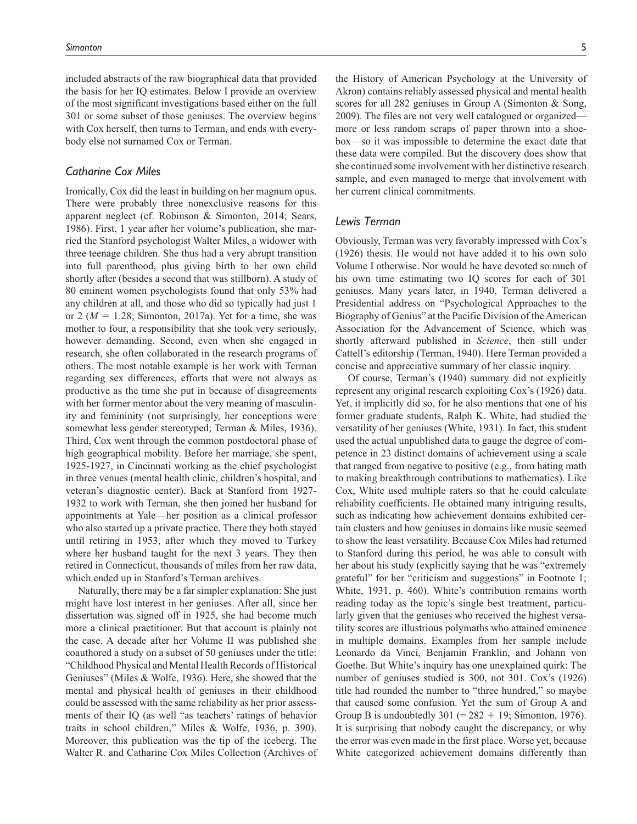included abstracts of the raw biographical data that provided the basis for her IQ estimates. Below I provide an overview of the most significant investigations based either on the full 301 or some subset of those geniuses. The overview begins with Cox herself, then turns to Terman, and ends with everybody else not surnamed Cox or Terman.

## *Catharine Cox Miles*

Ironically, Cox did the least in building on her magnum opus. There were probably three nonexclusive reasons for this apparent neglect (cf. Robinson & Simonton, 2014; Sears, 1986). First, 1 year after her volume's publication, she married the Stanford psychologist Walter Miles, a widower with three teenage children. She thus had a very abrupt transition into full parenthood, plus giving birth to her own child shortly after (besides a second that was stillborn). A study of 80 eminent women psychologists found that only 53% had any children at all, and those who did so typically had just 1 or 2 ( $M = 1.28$ ; Simonton, 2017a). Yet for a time, she was mother to four, a responsibility that she took very seriously, however demanding. Second, even when she engaged in research, she often collaborated in the research programs of others. The most notable example is her work with Terman regarding sex differences, efforts that were not always as productive as the time she put in because of disagreements with her former mentor about the very meaning of masculinity and femininity (not surprisingly, her conceptions were somewhat less gender stereotyped; Terman & Miles, 1936). Third, Cox went through the common postdoctoral phase of high geographical mobility. Before her marriage, she spent, 1925-1927, in Cincinnati working as the chief psychologist in three venues (mental health clinic, children's hospital, and veteran's diagnostic center). Back at Stanford from 1927- 1932 to work with Terman, she then joined her husband for appointments at Yale—her position as a clinical professor who also started up a private practice. There they both stayed until retiring in 1953, after which they moved to Turkey where her husband taught for the next 3 years. They then retired in Connecticut, thousands of miles from her raw data, which ended up in Stanford's Terman archives.

Naturally, there may be a far simpler explanation: She just might have lost interest in her geniuses. After all, since her dissertation was signed off in 1925, she had become much more a clinical practitioner. But that account is plainly not the case. A decade after her Volume II was published she coauthored a study on a subset of 50 geniuses under the title: "Childhood Physical and Mental Health Records of Historical Geniuses" (Miles & Wolfe, 1936). Here, she showed that the mental and physical health of geniuses in their childhood could be assessed with the same reliability as her prior assessments of their IQ (as well "as teachers' ratings of behavior traits in school children," Miles & Wolfe, 1936, p. 390). Moreover, this publication was the tip of the iceberg. The Walter R. and Catharine Cox Miles Collection (Archives of the History of American Psychology at the University of Akron) contains reliably assessed physical and mental health scores for all 282 geniuses in Group A (Simonton & Song, 2009). The files are not very well catalogued or organized more or less random scraps of paper thrown into a shoebox—so it was impossible to determine the exact date that these data were compiled. But the discovery does show that she continued some involvement with her distinctive research sample, and even managed to merge that involvement with her current clinical commitments.

#### *Lewis Terman*

Obviously, Terman was very favorably impressed with Cox's (1926) thesis. He would not have added it to his own solo Volume I otherwise. Nor would he have devoted so much of his own time estimating two IQ scores for each of 301 geniuses. Many years later, in 1940, Terman delivered a Presidential address on "Psychological Approaches to the Biography of Genius" at the Pacific Division of the American Association for the Advancement of Science, which was shortly afterward published in *Science*, then still under Cattell's editorship (Terman, 1940). Here Terman provided a concise and appreciative summary of her classic inquiry.

Of course, Terman's (1940) summary did not explicitly represent any original research exploiting Cox's (1926) data. Yet, it implicitly did so, for he also mentions that one of his former graduate students, Ralph K. White, had studied the versatility of her geniuses (White, 1931). In fact, this student used the actual unpublished data to gauge the degree of competence in 23 distinct domains of achievement using a scale that ranged from negative to positive (e.g., from hating math to making breakthrough contributions to mathematics). Like Cox, White used multiple raters so that he could calculate reliability coefficients. He obtained many intriguing results, such as indicating how achievement domains exhibited certain clusters and how geniuses in domains like music seemed to show the least versatility. Because Cox Miles had returned to Stanford during this period, he was able to consult with her about his study (explicitly saying that he was "extremely grateful" for her "criticism and suggestions" in Footnote 1; White, 1931, p. 460). White's contribution remains worth reading today as the topic's single best treatment, particularly given that the geniuses who received the highest versatility scores are illustrious polymaths who attained eminence in multiple domains. Examples from her sample include Leonardo da Vinci, Benjamin Franklin, and Johann von Goethe. But White's inquiry has one unexplained quirk: The number of geniuses studied is 300, not 301. Cox's (1926) title had rounded the number to "three hundred," so maybe that caused some confusion. Yet the sum of Group A and Group B is undoubtedly  $301 (= 282 + 19)$ ; Simonton, 1976). It is surprising that nobody caught the discrepancy, or why the error was even made in the first place. Worse yet, because White categorized achievement domains differently than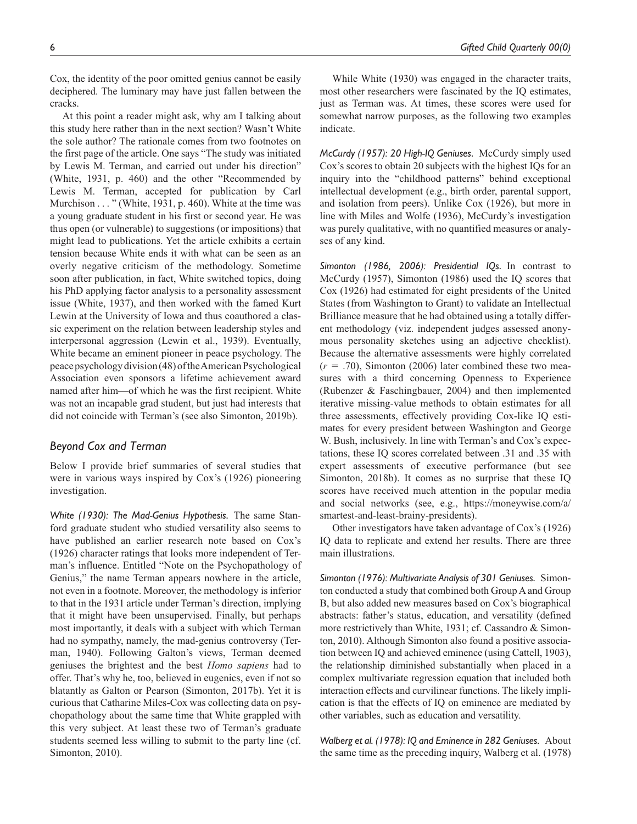Cox, the identity of the poor omitted genius cannot be easily deciphered. The luminary may have just fallen between the cracks.

At this point a reader might ask, why am I talking about this study here rather than in the next section? Wasn't White the sole author? The rationale comes from two footnotes on the first page of the article. One says "The study was initiated by Lewis M. Terman, and carried out under his direction" (White, 1931, p. 460) and the other "Recommended by Lewis M. Terman, accepted for publication by Carl Murchison . . . " (White, 1931, p. 460). White at the time was a young graduate student in his first or second year. He was thus open (or vulnerable) to suggestions (or impositions) that might lead to publications. Yet the article exhibits a certain tension because White ends it with what can be seen as an overly negative criticism of the methodology. Sometime soon after publication, in fact, White switched topics, doing his PhD applying factor analysis to a personality assessment issue (White, 1937), and then worked with the famed Kurt Lewin at the University of Iowa and thus coauthored a classic experiment on the relation between leadership styles and interpersonal aggression (Lewin et al., 1939). Eventually, White became an eminent pioneer in peace psychology. The peace psychology division (48) of the American Psychological Association even sponsors a lifetime achievement award named after him—of which he was the first recipient. White was not an incapable grad student, but just had interests that did not coincide with Terman's (see also Simonton, 2019b).

# *Beyond Cox and Terman*

Below I provide brief summaries of several studies that were in various ways inspired by Cox's (1926) pioneering investigation.

*White (1930): The Mad-Genius Hypothesis.* The same Stanford graduate student who studied versatility also seems to have published an earlier research note based on Cox's (1926) character ratings that looks more independent of Terman's influence. Entitled "Note on the Psychopathology of Genius," the name Terman appears nowhere in the article, not even in a footnote. Moreover, the methodology is inferior to that in the 1931 article under Terman's direction, implying that it might have been unsupervised. Finally, but perhaps most importantly, it deals with a subject with which Terman had no sympathy, namely, the mad-genius controversy (Terman, 1940). Following Galton's views, Terman deemed geniuses the brightest and the best *Homo sapiens* had to offer. That's why he, too, believed in eugenics, even if not so blatantly as Galton or Pearson (Simonton, 2017b). Yet it is curious that Catharine Miles-Cox was collecting data on psychopathology about the same time that White grappled with this very subject. At least these two of Terman's graduate students seemed less willing to submit to the party line (cf. Simonton, 2010).

While White (1930) was engaged in the character traits, most other researchers were fascinated by the IQ estimates, just as Terman was. At times, these scores were used for somewhat narrow purposes, as the following two examples indicate.

*McCurdy (1957): 20 High-IQ Geniuses.* McCurdy simply used Cox's scores to obtain 20 subjects with the highest IQs for an inquiry into the "childhood patterns" behind exceptional intellectual development (e.g., birth order, parental support, and isolation from peers). Unlike Cox (1926), but more in line with Miles and Wolfe (1936), McCurdy's investigation was purely qualitative, with no quantified measures or analyses of any kind.

*Simonton (1986, 2006): Presidential IQs.* In contrast to McCurdy (1957), Simonton (1986) used the IQ scores that Cox (1926) had estimated for eight presidents of the United States (from Washington to Grant) to validate an Intellectual Brilliance measure that he had obtained using a totally different methodology (viz. independent judges assessed anonymous personality sketches using an adjective checklist). Because the alternative assessments were highly correlated  $(r = .70)$ , Simonton (2006) later combined these two measures with a third concerning Openness to Experience (Rubenzer & Faschingbauer, 2004) and then implemented iterative missing-value methods to obtain estimates for all three assessments, effectively providing Cox-like IQ estimates for every president between Washington and George W. Bush, inclusively. In line with Terman's and Cox's expectations, these IQ scores correlated between .31 and .35 with expert assessments of executive performance (but see Simonton, 2018b). It comes as no surprise that these IQ scores have received much attention in the popular media and social networks (see, e.g., https://moneywise.com/a/ smartest-and-least-brainy-presidents).

Other investigators have taken advantage of Cox's (1926) IQ data to replicate and extend her results. There are three main illustrations.

*Simonton (1976): Multivariate Analysis of 301 Geniuses.* Simonton conducted a study that combined both Group A and Group B, but also added new measures based on Cox's biographical abstracts: father's status, education, and versatility (defined more restrictively than White, 1931; cf. Cassandro & Simonton, 2010). Although Simonton also found a positive association between IQ and achieved eminence (using Cattell, 1903), the relationship diminished substantially when placed in a complex multivariate regression equation that included both interaction effects and curvilinear functions. The likely implication is that the effects of IQ on eminence are mediated by other variables, such as education and versatility.

*Walberg et al. (1978): IQ and Eminence in 282 Geniuses.* About the same time as the preceding inquiry, Walberg et al. (1978)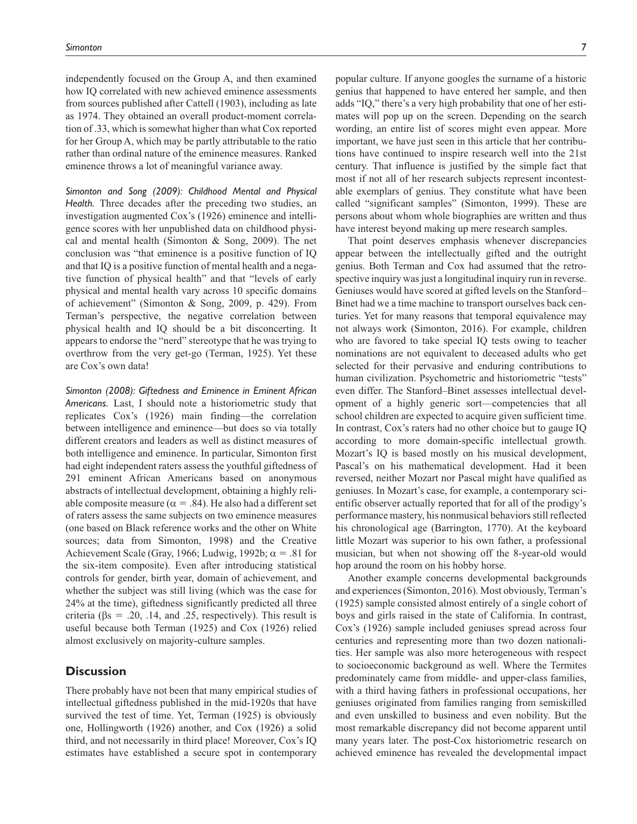independently focused on the Group A, and then examined how IQ correlated with new achieved eminence assessments from sources published after Cattell (1903), including as late as 1974. They obtained an overall product-moment correlation of .33, which is somewhat higher than what Cox reported for her Group A, which may be partly attributable to the ratio rather than ordinal nature of the eminence measures. Ranked eminence throws a lot of meaningful variance away.

*Simonton and Song (2009): Childhood Mental and Physical Health.* Three decades after the preceding two studies, an investigation augmented Cox's (1926) eminence and intelligence scores with her unpublished data on childhood physical and mental health (Simonton & Song, 2009). The net conclusion was "that eminence is a positive function of IQ and that IQ is a positive function of mental health and a negative function of physical health" and that "levels of early physical and mental health vary across 10 specific domains of achievement" (Simonton & Song, 2009, p. 429). From Terman's perspective, the negative correlation between physical health and IQ should be a bit disconcerting. It appears to endorse the "nerd" stereotype that he was trying to overthrow from the very get-go (Terman, 1925). Yet these are Cox's own data!

*Simonton (2008): Giftedness and Eminence in Eminent African Americans.* Last, I should note a historiometric study that replicates Cox's (1926) main finding—the correlation between intelligence and eminence—but does so via totally different creators and leaders as well as distinct measures of both intelligence and eminence. In particular, Simonton first had eight independent raters assess the youthful giftedness of 291 eminent African Americans based on anonymous abstracts of intellectual development, obtaining a highly reliable composite measure ( $\alpha = .84$ ). He also had a different set of raters assess the same subjects on two eminence measures (one based on Black reference works and the other on White sources; data from Simonton, 1998) and the Creative Achievement Scale (Gray, 1966; Ludwig, 1992b;  $\alpha = .81$  for the six-item composite). Even after introducing statistical controls for gender, birth year, domain of achievement, and whether the subject was still living (which was the case for 24% at the time), giftedness significantly predicted all three criteria ( $\beta$ s = .20, .14, and .25, respectively). This result is useful because both Terman (1925) and Cox (1926) relied almost exclusively on majority-culture samples.

## **Discussion**

There probably have not been that many empirical studies of intellectual giftedness published in the mid-1920s that have survived the test of time. Yet, Terman (1925) is obviously one, Hollingworth (1926) another, and Cox (1926) a solid third, and not necessarily in third place! Moreover, Cox's IQ estimates have established a secure spot in contemporary

popular culture. If anyone googles the surname of a historic genius that happened to have entered her sample, and then adds "IQ," there's a very high probability that one of her estimates will pop up on the screen. Depending on the search wording, an entire list of scores might even appear. More important, we have just seen in this article that her contributions have continued to inspire research well into the 21st century. That influence is justified by the simple fact that most if not all of her research subjects represent incontestable exemplars of genius. They constitute what have been called "significant samples" (Simonton, 1999). These are persons about whom whole biographies are written and thus have interest beyond making up mere research samples.

That point deserves emphasis whenever discrepancies appear between the intellectually gifted and the outright genius. Both Terman and Cox had assumed that the retrospective inquiry was just a longitudinal inquiry run in reverse. Geniuses would have scored at gifted levels on the Stanford– Binet had we a time machine to transport ourselves back centuries. Yet for many reasons that temporal equivalence may not always work (Simonton, 2016). For example, children who are favored to take special IQ tests owing to teacher nominations are not equivalent to deceased adults who get selected for their pervasive and enduring contributions to human civilization. Psychometric and historiometric "tests" even differ. The Stanford–Binet assesses intellectual development of a highly generic sort—competencies that all school children are expected to acquire given sufficient time. In contrast, Cox's raters had no other choice but to gauge IQ according to more domain-specific intellectual growth. Mozart's IQ is based mostly on his musical development, Pascal's on his mathematical development. Had it been reversed, neither Mozart nor Pascal might have qualified as geniuses. In Mozart's case, for example, a contemporary scientific observer actually reported that for all of the prodigy's performance mastery, his nonmusical behaviors still reflected his chronological age (Barrington, 1770). At the keyboard little Mozart was superior to his own father, a professional musician, but when not showing off the 8-year-old would hop around the room on his hobby horse.

Another example concerns developmental backgrounds and experiences (Simonton, 2016). Most obviously, Terman's (1925) sample consisted almost entirely of a single cohort of boys and girls raised in the state of California. In contrast, Cox's (1926) sample included geniuses spread across four centuries and representing more than two dozen nationalities. Her sample was also more heterogeneous with respect to socioeconomic background as well. Where the Termites predominately came from middle- and upper-class families, with a third having fathers in professional occupations, her geniuses originated from families ranging from semiskilled and even unskilled to business and even nobility. But the most remarkable discrepancy did not become apparent until many years later. The post-Cox historiometric research on achieved eminence has revealed the developmental impact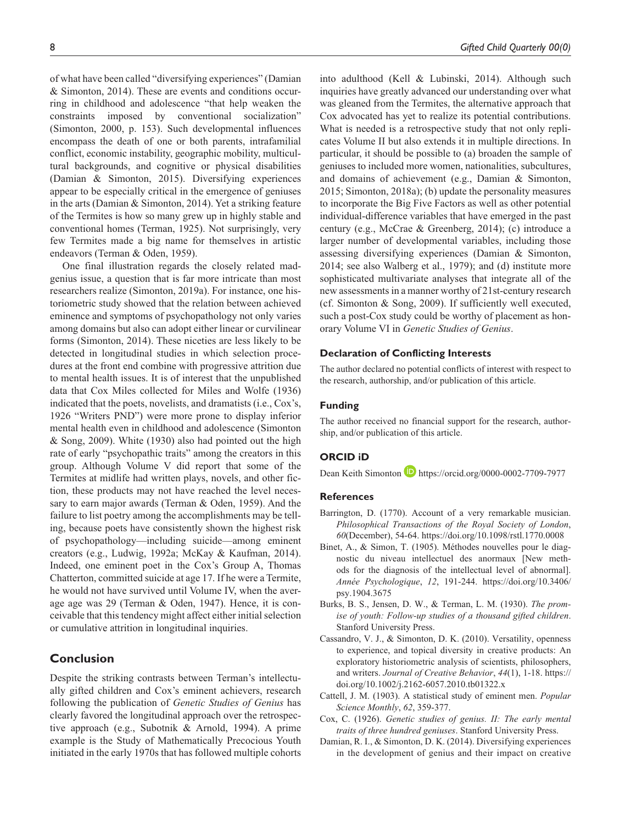of what have been called "diversifying experiences" (Damian & Simonton, 2014). These are events and conditions occurring in childhood and adolescence "that help weaken the constraints imposed by conventional socialization" (Simonton, 2000, p. 153). Such developmental influences encompass the death of one or both parents, intrafamilial conflict, economic instability, geographic mobility, multicultural backgrounds, and cognitive or physical disabilities (Damian & Simonton, 2015). Diversifying experiences appear to be especially critical in the emergence of geniuses in the arts (Damian & Simonton, 2014). Yet a striking feature of the Termites is how so many grew up in highly stable and conventional homes (Terman, 1925). Not surprisingly, very few Termites made a big name for themselves in artistic endeavors (Terman & Oden, 1959).

One final illustration regards the closely related madgenius issue, a question that is far more intricate than most researchers realize (Simonton, 2019a). For instance, one historiometric study showed that the relation between achieved eminence and symptoms of psychopathology not only varies among domains but also can adopt either linear or curvilinear forms (Simonton, 2014). These niceties are less likely to be detected in longitudinal studies in which selection procedures at the front end combine with progressive attrition due to mental health issues. It is of interest that the unpublished data that Cox Miles collected for Miles and Wolfe (1936) indicated that the poets, novelists, and dramatists (i.e., Cox's, 1926 "Writers PND") were more prone to display inferior mental health even in childhood and adolescence (Simonton & Song, 2009). White (1930) also had pointed out the high rate of early "psychopathic traits" among the creators in this group. Although Volume V did report that some of the Termites at midlife had written plays, novels, and other fiction, these products may not have reached the level necessary to earn major awards (Terman & Oden, 1959). And the failure to list poetry among the accomplishments may be telling, because poets have consistently shown the highest risk of psychopathology—including suicide—among eminent creators (e.g., Ludwig, 1992a; McKay & Kaufman, 2014). Indeed, one eminent poet in the Cox's Group A, Thomas Chatterton, committed suicide at age 17. If he were a Termite, he would not have survived until Volume IV, when the average age was 29 (Terman & Oden, 1947). Hence, it is conceivable that this tendency might affect either initial selection or cumulative attrition in longitudinal inquiries.

# **Conclusion**

Despite the striking contrasts between Terman's intellectually gifted children and Cox's eminent achievers, research following the publication of *Genetic Studies of Genius* has clearly favored the longitudinal approach over the retrospective approach (e.g., Subotnik & Arnold, 1994). A prime example is the Study of Mathematically Precocious Youth initiated in the early 1970s that has followed multiple cohorts

into adulthood (Kell & Lubinski, 2014). Although such inquiries have greatly advanced our understanding over what was gleaned from the Termites, the alternative approach that Cox advocated has yet to realize its potential contributions. What is needed is a retrospective study that not only replicates Volume II but also extends it in multiple directions. In particular, it should be possible to (a) broaden the sample of geniuses to included more women, nationalities, subcultures, and domains of achievement (e.g., Damian & Simonton, 2015; Simonton, 2018a); (b) update the personality measures to incorporate the Big Five Factors as well as other potential individual-difference variables that have emerged in the past century (e.g., McCrae & Greenberg, 2014); (c) introduce a larger number of developmental variables, including those assessing diversifying experiences (Damian & Simonton, 2014; see also Walberg et al., 1979); and (d) institute more sophisticated multivariate analyses that integrate all of the new assessments in a manner worthy of 21st-century research (cf. Simonton & Song, 2009). If sufficiently well executed, such a post-Cox study could be worthy of placement as honorary Volume VI in *Genetic Studies of Genius*.

#### **Declaration of Conflicting Interests**

The author declared no potential conflicts of interest with respect to the research, authorship, and/or publication of this article.

#### **Funding**

The author received no financial support for the research, authorship, and/or publication of this article.

## **ORCID iD**

Dean Keith Simonton **D** https://orcid.org/0000-0002-7709-7977

#### **References**

- Barrington, D. (1770). Account of a very remarkable musician. *Philosophical Transactions of the Royal Society of London*, *60*(December), 54-64. https://doi.org/10.1098/rstl.1770.0008
- Binet, A., & Simon, T. (1905). Méthodes nouvelles pour le diagnostic du niveau intellectuel des anormaux [New methods for the diagnosis of the intellectual level of abnormal]. *Année Psychologique*, *12*, 191-244. https://doi.org/10.3406/ psy.1904.3675
- Burks, B. S., Jensen, D. W., & Terman, L. M. (1930). *The promise of youth: Follow-up studies of a thousand gifted children*. Stanford University Press.
- Cassandro, V. J., & Simonton, D. K. (2010). Versatility, openness to experience, and topical diversity in creative products: An exploratory historiometric analysis of scientists, philosophers, and writers. *Journal of Creative Behavior*, *44*(1), 1-18. https:// doi.org/10.1002/j.2162-6057.2010.tb01322.x
- Cattell, J. M. (1903). A statistical study of eminent men. *Popular Science Monthly*, *62*, 359-377.
- Cox, C. (1926). *Genetic studies of genius. II: The early mental traits of three hundred geniuses*. Stanford University Press.
- Damian, R. I., & Simonton, D. K. (2014). Diversifying experiences in the development of genius and their impact on creative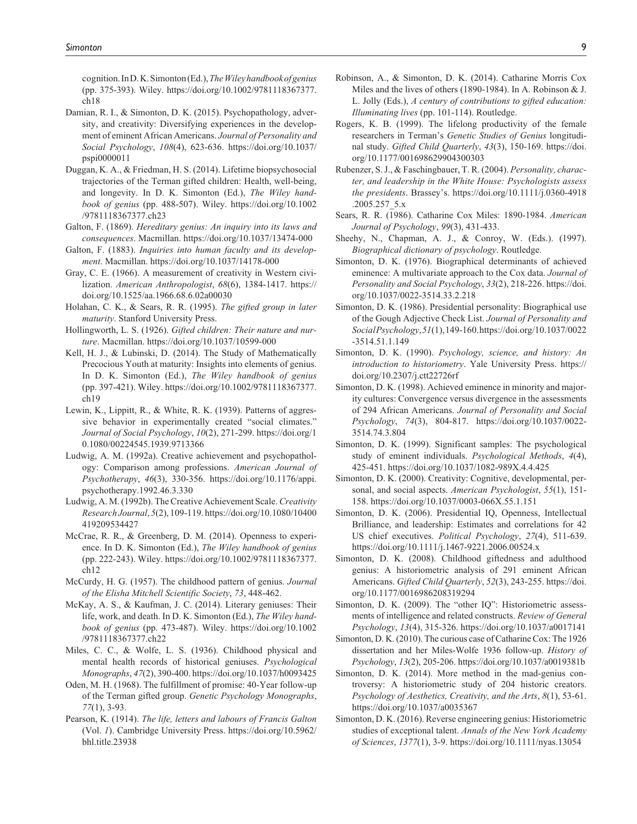cognition. In D. K. Simonton (Ed.), *The Wiley handbook of genius* (pp. 375-393). Wiley. https://doi.org/10.1002/9781118367377. ch18

- Damian, R. I., & Simonton, D. K. (2015). Psychopathology, adversity, and creativity: Diversifying experiences in the development of eminent African Americans. *Journal of Personality and Social Psychology*, *108*(4), 623-636. https://doi.org/10.1037/ pspi0000011
- Duggan, K. A., & Friedman, H. S. (2014). Lifetime biopsychosocial trajectories of the Terman gifted children: Health, well-being, and longevity. In D. K. Simonton (Ed.), *The Wiley handbook of genius* (pp. 488-507). Wiley. https://doi.org/10.1002 /9781118367377.ch23
- Galton, F. (1869). *Hereditary genius: An inquiry into its laws and consequences*. Macmillan. https://doi.org/10.1037/13474-000
- Galton, F. (1883). *Inquiries into human faculty and its development*. Macmillan. https://doi.org/10.1037/14178-000
- Gray, C. E. (1966). A measurement of creativity in Western civilization. *American Anthropologist*, *68*(6), 1384-1417. https:// doi.org/10.1525/aa.1966.68.6.02a00030
- Holahan, C. K., & Sears, R. R. (1995). *The gifted group in later maturity*. Stanford University Press.
- Hollingworth, L. S. (1926). *Gifted children: Their nature and nurture*. Macmillan. https://doi.org/10.1037/10599-000
- Kell, H. J., & Lubinski, D. (2014). The Study of Mathematically Precocious Youth at maturity: Insights into elements of genius. In D. K. Simonton (Ed.), *The Wiley handbook of genius* (pp. 397-421). Wiley. https://doi.org/10.1002/9781118367377. ch19
- Lewin, K., Lippitt, R., & White, R. K. (1939). Patterns of aggressive behavior in experimentally created "social climates." *Journal of Social Psychology*, *10*(2), 271-299. https://doi.org/1 0.1080/00224545.1939.9713366
- Ludwig, A. M. (1992a). Creative achievement and psychopathology: Comparison among professions. *American Journal of Psychotherapy*, *46*(3), 330-356. https://doi.org/10.1176/appi. psychotherapy.1992.46.3.330
- Ludwig, A. M. (1992b). The Creative Achievement Scale. *Creativity Research Journal*, *5*(2), 109-119. https://doi.org/10.1080/10400 419209534427
- McCrae, R. R., & Greenberg, D. M. (2014). Openness to experience. In D. K. Simonton (Ed.), *The Wiley handbook of genius* (pp. 222-243). Wiley. https://doi.org/10.1002/9781118367377. ch12
- McCurdy, H. G. (1957). The childhood pattern of genius. *Journal of the Elisha Mitchell Scientific Society*, *73*, 448-462.
- McKay, A. S., & Kaufman, J. C. (2014). Literary geniuses: Their life, work, and death. In D. K. Simonton (Ed.), *The Wiley handbook of genius* (pp. 473-487). Wiley. https://doi.org/10.1002 /9781118367377.ch22
- Miles, C. C., & Wolfe, L. S. (1936). Childhood physical and mental health records of historical geniuses. *Psychological Monographs*, *47*(2), 390-400. https://doi.org/10.1037/h0093425
- Oden, M. H. (1968). The fulfillment of promise: 40-Year follow-up of the Terman gifted group. *Genetic Psychology Monographs*, *77*(1), 3-93.
- Pearson, K. (1914). *The life, letters and labours of Francis Galton* (Vol. *1*). Cambridge University Press. https://doi.org/10.5962/ bhl.title.23938
- Robinson, A., & Simonton, D. K. (2014). Catharine Morris Cox Miles and the lives of others (1890-1984). In A. Robinson & J. L. Jolly (Eds.), *A century of contributions to gifted education: Illuminating lives* (pp. 101-114). Routledge.
- Rogers, K. B. (1999). The lifelong productivity of the female researchers in Terman's *Genetic Studies of Genius* longitudinal study. *Gifted Child Quarterly*, *43*(3), 150-169. https://doi. org/10.1177/001698629904300303
- Rubenzer, S. J., & Faschingbauer, T. R. (2004). *Personality, character, and leadership in the White House: Psychologists assess the presidents*. Brassey's. https://doi.org/10.1111/j.0360-4918 .2005.257\_5.x
- Sears, R. R. (1986). Catharine Cox Miles: 1890-1984. *American Journal of Psychology*, *99*(3), 431-433.
- Sheehy, N., Chapman, A. J., & Conroy, W. (Eds.). (1997). *Biographical dictionary of psychology*. Routledge.
- Simonton, D. K. (1976). Biographical determinants of achieved eminence: A multivariate approach to the Cox data. *Journal of Personality and Social Psychology*, *33*(2), 218-226. https://doi. org/10.1037/0022-3514.33.2.218
- Simonton, D. K. (1986). Presidential personality: Biographical use of the Gough Adjective Check List. *Journal of Personality and Social Psychology*, *51*(1), 149-160. https://doi.org/10.1037/0022 -3514.51.1.149
- Simonton, D. K. (1990). *Psychology, science, and history: An introduction to historiometry*. Yale University Press. https:// doi.org/10.2307/j.ctt22726rf
- Simonton, D. K. (1998). Achieved eminence in minority and majority cultures: Convergence versus divergence in the assessments of 294 African Americans. *Journal of Personality and Social Psychology*, *74*(3), 804-817. https://doi.org/10.1037/0022- 3514.74.3.804
- Simonton, D. K. (1999). Significant samples: The psychological study of eminent individuals. *Psychological Methods*, *4*(4), 425-451. https://doi.org/10.1037/1082-989X.4.4.425
- Simonton, D. K. (2000). Creativity: Cognitive, developmental, personal, and social aspects. *American Psychologist*, *55*(1), 151- 158. https://doi.org/10.1037/0003-066X.55.1.151
- Simonton, D. K. (2006). Presidential IQ, Openness, Intellectual Brilliance, and leadership: Estimates and correlations for 42 US chief executives. *Political Psychology*, *27*(4), 511-639. https://doi.org/10.1111/j.1467-9221.2006.00524.x
- Simonton, D. K. (2008). Childhood giftedness and adulthood genius: A historiometric analysis of 291 eminent African Americans. *Gifted Child Quarterly*, *52*(3), 243-255. https://doi. org/10.1177/0016986208319294
- Simonton, D. K. (2009). The "other IQ": Historiometric assessments of intelligence and related constructs. *Review of General Psychology*, *13*(4), 315-326. https://doi.org/10.1037/a0017141
- Simonton, D. K. (2010). The curious case of Catharine Cox: The 1926 dissertation and her Miles-Wolfe 1936 follow-up. *History of Psychology*, *13*(2), 205-206. https://doi.org/10.1037/a0019381b
- Simonton, D. K. (2014). More method in the mad-genius controversy: A historiometric study of 204 historic creators. *Psychology of Aesthetics, Creativity, and the Arts*, *8*(1), 53-61. https://doi.org/10.1037/a0035367
- Simonton, D. K. (2016). Reverse engineering genius: Historiometric studies of exceptional talent. *Annals of the New York Academy of Sciences*, *1377*(1), 3-9. https://doi.org/10.1111/nyas.13054